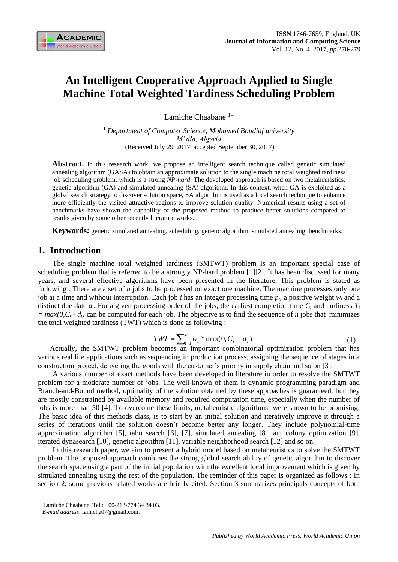# **An Intelligent Cooperative Approach Applied to Single Machine Total Weighted Tardiness Scheduling Problem**

Lamiche Chaabane<sup>1+</sup>

<sup>1</sup> *Department of Computer Science, Mohamed Boudiaf university M'sila, Algeria* (Received July 29, 2017, accepted September 30, 2017)

Abstract. In this research work, we propose an intelligent search technique called genetic simulated annealing algorithm (GASA) to obtain an approximate solution to the single machine total weighted tardiness job scheduling problem, which is a strong *NP-hard*. The developed approach is based on two metaheuristics: genetic algorithm (GA) and simulated annealing (SA) algorithm. In this context, when GA is exploited as a global search strategy to discover solution space, SA algorithm is used as a local search technique to enhance more efficiently the visited attractive regions to improve solution quality. Numerical results using a set of benchmarks have shown the capability of the proposed method to produce better solutions compared to results given by some other recently literature works.

**Keywords:** genetic simulated annealing, scheduling, genetic algorithm, simulated annealing, benchmarks.

# **1. Introduction**

The single machine total weighted tardiness (SMTWT) problem is an important special case of scheduling problem that is referred to be a strongly NP-hard problem [1][2]. It has been discussed for many years, and several effective algorithms have been presented in the literature. This problem is stated as following : There are a set of *n* jobs to be processed on exact one machine. The machine processes only one job at a time and without interruption. Each job *i* has an integer processing time *pi*, a positive weight *w<sup>i</sup>* and a distinct due date  $d_i$ . For a given processing order of the jobs, the earliest completion time  $C_i$  and tardiness  $T_i$  $= max(0, C_i - d_i)$  can be computed for each job. The objective is to find the sequence of *n* jobs that minimizes the total weighted tardiness (TWT) which is done as following :

$$
TWT = \sum_{i=1}^{n} w_i * \max(0, C_i - d_i)
$$
 (1)

Actually, the SMTWT problem becomes an important combinatorial optimization problem that has various real life applications such as sequencing in production process, assigning the sequence of stages in a construction project, delivering the goods with the customer's priority in supply chain and so on [3].

A various number of exact methods have been developed in literature in order to resolve the SMTWT problem for a moderate number of jobs. The well-known of them is dynamic programming paradigm and Branch-and-Bound method, optimality of the solution obtained by these approaches is guaranteed, but they are mostly constrained by available memory and required computation time, especially when the number of jobs is more than 50 [4]. To overcome these limits, metaheuristic algorithms were shown to be promising. The basic idea of this methods class, is to start by an initial solution and iteratively improve it through a series of iterations until the solution doesn't become better any longer. They include polynomial-time approximation algorithm [5], tabu search [6], [7], simulated annealing [8], ant colony optimization [9], iterated dynasearch [10], genetic algorithm [11], variable neighborhood search [12] and so on.

In this research paper, we aim to present a hybrid model based on metaheuristics to solve the SMTWT problem. The proposed approach combines the strong global search ability of genetic algorithm to discover the search space using a part of the initial population with the excellent local improvement which is given by simulated annealing using the rest of the population. The reminder of this paper is organized as follows : In section 2, some previous related works are briefly cited. Section 3 summarizes principals concepts of both

 $\overline{a}$ 

 Lamiche Chaabane. Tel.: +00-213-774 34 34 03.

*E-mail address*: lamiche07@gmail.com.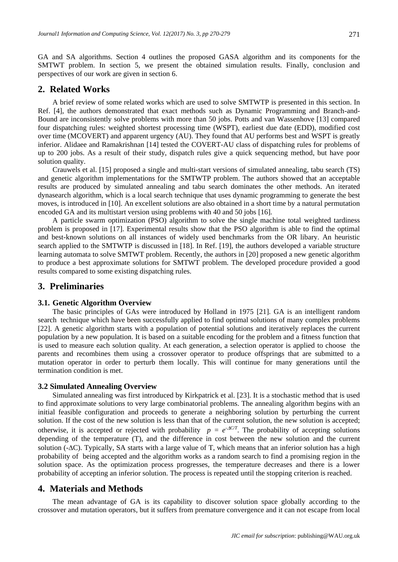GA and SA algorithms. Section 4 outlines the proposed GASA algorithm and its components for the SMTWT problem. In section 5, we present the obtained simulation results. Finally, conclusion and perspectives of our work are given in section 6.

# **2. Related Works**

A brief review of some related works which are used to solve SMTWTP is presented in this section. In Ref. [4], the authors demonstrated that exact methods such as Dynamic Programming and Branch-and-Bound are inconsistently solve problems with more than 50 jobs. Potts and van Wassenhove [13] compared four dispatching rules: weighted shortest processing time (WSPT), earliest due date (EDD), modified cost over time (MCOVERT) and apparent urgency (AU). They found that AU performs best and WSPT is greatly inferior. Alidaee and Ramakrishnan [14] tested the COVERT-AU class of dispatching rules for problems of up to 200 jobs. As a result of their study, dispatch rules give a quick sequencing method, but have poor solution quality.

Crauwels et al. [15] proposed a single and multi-start versions of simulated annealing, tabu search (TS) and genetic algorithm implementations for the SMTWTP problem. The authors showed that an acceptable results are produced by simulated annealing and tabu search dominates the other methods. An iterated dynasearch algorithm, which is a local search technique that uses dynamic programming to generate the best moves, is introduced in [10]. An excellent solutions are also obtained in a short time by a natural permutation encoded GA and its multistart version using problems with 40 and 50 jobs [16].

A particle swarm optimization (PSO) algorithm to solve the single machine total weighted tardiness problem is proposed in [17]. Experimental results show that the PSO algorithm is able to find the optimal and best-known solutions on all instances of widely used benchmarks from the OR libary. An heuristic search applied to the SMTWTP is discussed in [18]. In Ref. [19], the authors developed a variable structure learning automata to solve SMTWT problem. Recently, the authors in [20] proposed a new genetic algorithm to produce a best approximate solutions for SMTWT problem. The developed procedure provided a good results compared to some existing dispatching rules.

# **3. Preliminaries**

### **3.1. Genetic Algorithm Overview**

The basic principles of GAs were introduced by Holland in 1975 [21]. GA is an intelligent random search technique which have been successfully applied to find optimal solutions of many complex problems [22]. A genetic algorithm starts with a population of potential solutions and iteratively replaces the current population by a new population. It is based on a suitable encoding for the problem and a fitness function that is used to measure each solution quality. At each generation, a selection operator is applied to choose the parents and recombines them using a crossover operator to produce offsprings that are submitted to a mutation operator in order to perturb them locally. This will continue for many generations until the termination condition is met.

#### **3.2 Simulated Annealing Overview**

Simulated annealing was first introduced by Kirkpatrick et al. [23]. It is a stochastic method that is used to find approximate solutions to very large combinatorial problems. The annealing algorithm begins with an initial feasible configuration and proceeds to generate a neighboring solution by perturbing the current solution. If the cost of the new solution is less than that of the current solution, the new solution is accepted; otherwise, it is accepted or rejected with probability  $p = e^{AC/T}$ . The probability of accepting solutions depending of the temperature (T), and the difference in cost between the new solution and the current solution  $(-\Delta C)$ . Typically, SA starts with a large value of T, which means that an inferior solution has a high probability of being accepted and the algorithm works as a random search to find a promising region in the solution space. As the optimization process progresses, the temperature decreases and there is a lower probability of accepting an inferior solution. The process is repeated until the stopping criterion is reached.

# **4. Materials and Methods**

The mean advantage of GA is its capability to discover solution space globally according to the crossover and mutation operators, but it suffers from premature convergence and it can not escape from local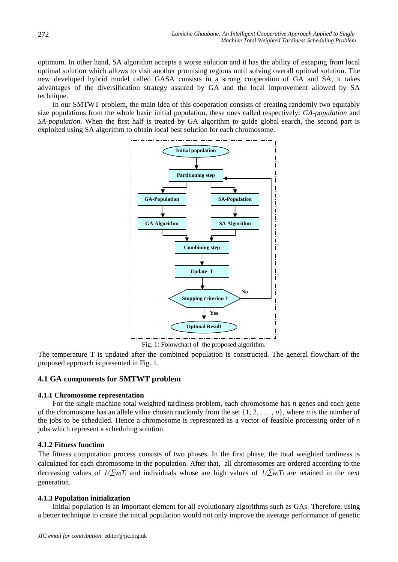optimum. In other hand, SA algorithm accepts a worse solution and it has the ability of escaping from local optimal solution which allows to visit another promising regions until solving overall optimal solution. The new developed hybrid model called GASA consists in a strong cooperation of GA and SA, it takes advantages of the diversification strategy assured by GA and the local improvement allowed by SA technique.

In our SMTWT problem, the main idea of this cooperation consists of creating randomly two equitably size populations from the whole basic initial population, these ones called respectively: *GA-population* and *SA-population*. When the first half is treated by GA algorithm to guide global search, the second part is exploited using SA algorithm to obtain local best solution for each chromosome.



Fig. 1: Folowchart of the proposed algorithm.

The temperature T is updated after the combined population is constructed. The general flowchart of the proposed approach is presented in Fig. 1.

## **4.1 GA components for SMTWT problem**

## **4.1.1 Chromosome representation**

For the single machine total weighted tardiness problem, each chromosome has *n* genes and each gene of the chromosome has an allele value chosen randomly from the set {1, 2, . . . , *n*}, where *n* is the number of the jobs to be scheduled. Hence a chromosome is represented as a vector of feasible processing order of *n*  jobs which represent a scheduling solution.

## **4.1.2 Fitness function**

The fitness computation process consists of two phases. In the first phase, the total weighted tardiness is calculated for each chromosome in the population. After that, all chromosomes are ordered according to the decreasing values of  $1/\sum w_i T_i$  and individuals whose are high values of  $1/\sum w_i T_i$  are retained in the next generation.

## **4.1.3 Population initialization**

Initial population is an important element for all evolutionary algorithms such as GAs. Therefore, using a better technique to create the initial population would not only improve the average performance of genetic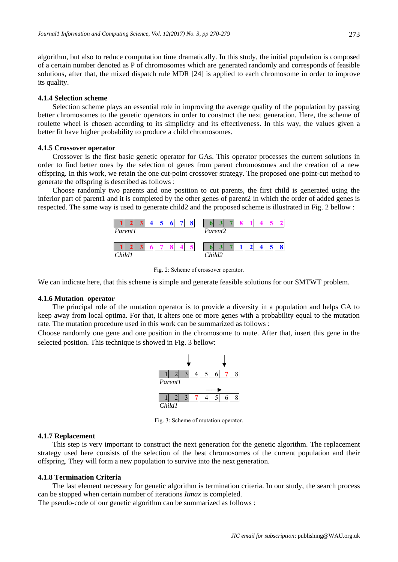algorithm, but also to reduce computation time dramatically. In this study, the initial population is composed of a certain number denoted as P of chromosomes which are generated randomly and corresponds of feasible solutions, after that, the mixed dispatch rule MDR [24] is applied to each chromosome in order to improve its quality.

### **4.1.4 Selection scheme**

Selection scheme plays an essential role in improving the average quality of the population by passing better chromosomes to the genetic operators in order to construct the next generation. Here, the scheme of roulette wheel is chosen according to its simplicity and its effectiveness. In this way, the values given a better fit have higher probability to produce a child chromosomes.

#### **4.1.5 Crossover operator**

Crossover is the first basic genetic operator for GAs. This operator processes the current solutions in order to find better ones by the selection of genes from parent chromosomes and the creation of a new offspring. In this work, we retain the one cut-point crossover strategy. The proposed one-point-cut method to generate the offspring is described as follows :

Choose randomly two parents and one position to cut parents, the first child is generated using the inferior part of parent1 and it is completed by the other genes of parent2 in which the order of added genes is respected. The same way is used to generate child2 and the proposed scheme is illustrated in Fig. 2 bellow :



Fig. 2: Scheme of crossover operator.

We can indicate here, that this scheme is simple and generate feasible solutions for our SMTWT problem.

#### **4.1.6 Mutation operator**

The principal role of the mutation operator is to provide a diversity in a population and helps GA to keep away from local optima. For that, it alters one or more genes with a probability equal to the mutation rate. The mutation procedure used in this work can be summarized as follows :

Choose randomly one gene and one position in the chromosome to mute. After that, insert this gene in the selected position. This technique is showed in Fig. 3 bellow:



Fig. 3: Scheme of mutation operator.

#### **4.1.7 Replacement**

This step is very important to construct the next generation for the genetic algorithm. The replacement strategy used here consists of the selection of the best chromosomes of the current population and their offspring. They will form a new population to survive into the next generation.

#### **4.1.8 Termination Criteria**

The last element necessary for genetic algorithm is termination criteria. In our study, the search process can be stopped when certain number of iterations *Itmax* is completed.

The pseudo-code of our genetic algorithm can be summarized as follows :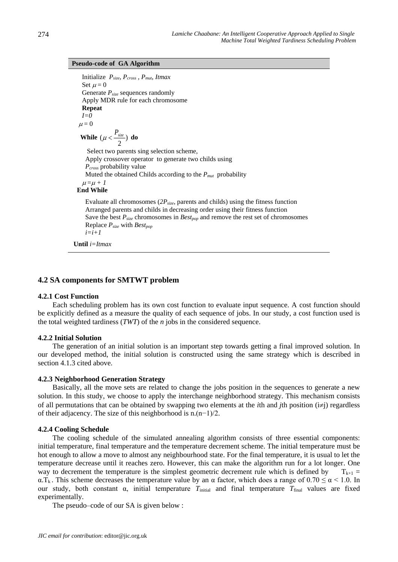#### **Pseudo-code of GA Algorithm**

```
 Initialize Psize, Pcross , Pmut, Itmax
   Set u = 0 Generate Psize sequences randomly
    Apply MDR rule for each chromosome
    Repeat
    I=0
  \mu = 0While (\mu < \frac{1 \text{ size}}{n})2
           (\mu < \frac{P_{size}}{P}) do
      Select two parents sing selection scheme,
     Apply crossover operator to generate two childs using 
     Pcross probability value
     Muted the obtained Childs according to the Pmut probability
   \mu = \mu + 1 End While
     Evaluate all chromosomes (2Psize, parents and childs) using the fitness function
     Arranged parents and childs in decreasing order using their fitness function
     Save the best Psize chromosomes in Bestpop and remove the rest set of chromosomes
```
Replace *Psize* with *Bestpop*

 $i=i+1$ **Until** *i=Itmax*

## **4.2 SA components for SMTWT problem**

#### **4.2.1 Cost Function**

Each scheduling problem has its own cost function to evaluate input sequence. A cost function should be explicitly defined as a measure the quality of each sequence of jobs. In our study, a cost function used is the total weighted tardiness (*TWT*) of the *n* jobs in the considered sequence.

## **4.2.2 Initial Solution**

The generation of an initial solution is an important step towards getting a final improved solution. In our developed method, the initial solution is constructed using the same strategy which is described in section 4.1.3 cited above.

#### **4.2.3 Neighborhood Generation Strategy**

Basically, all the move sets are related to change the jobs position in the sequences to generate a new solution. In this study, we choose to apply the interchange neighborhood strategy. This mechanism consists of all permutations that can be obtained by swapping two elements at the *i*th and *j*th position ( $i\neq j$ ) regardless of their adjacency. The size of this neighborhood is n.(n−1)/2.

## **4.2.4 Cooling Schedule**

The cooling schedule of the simulated annealing algorithm consists of three essential components: initial temperature, final temperature and the temperature decrement scheme. The initial temperature must be hot enough to allow a move to almost any neighbourhood state. For the final temperature, it is usual to let the temperature decrease until it reaches zero. However, this can make the algorithm run for a lot longer. One way to decrement the temperature is the simplest geometric decrement rule which is defined by  $T_{k+1} =$  $\alpha$ .T<sub>k</sub>. This scheme decreases the temperature value by an  $\alpha$  factor, which does a range of 0.70  $\leq \alpha$  < 1.0. In our study, both constant α, initial temperature  $T_{initial}$  and final temperature  $T_{final}$  values are fixed experimentally.

The pseudo–code of our SA is given below :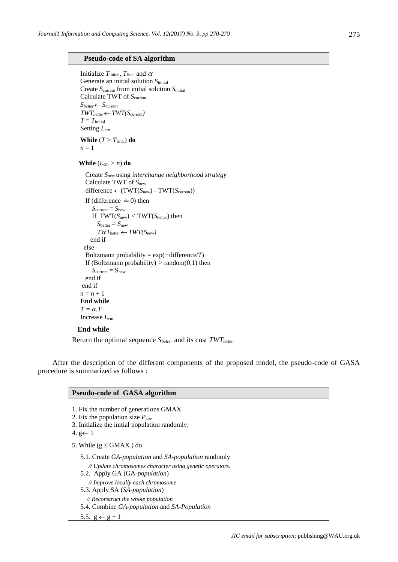#### **Pseudo-code of SA algorithm**

```
Initialize T_{initial}, T_{final} and \alpha Generate an initial solution Sinitial 
    Create Scurrent from initial solution Sinitial
    Calculate TWT of Scurrent
    Sbetter Scurrent
    TWTbetter TWT(Scurrent)
   T = T_{initial}Setting L_{cm}While (T > T_{final}) do
   n = 1While (L_{cm} > n) do
       Create Snew using interchange neighborhood strategy
       Calculate TWT of Snew
      difference ← (TWT(S<sub>new</sub>) - TWT(S<sub>current</sub>))
      If (difference \Leftarrow 0) then
         S_{\text{current}} = S_{\text{new}}If TWT(S_{new}) < TWT(S_{better}) then
           S_{\text{better}} = S_{\text{new}}TWT_{better} \leftarrow TWT(S_{new}) end if
      else
       Boltzmann probability = exp(−difference/T)
      If (Boltzmann probability) > random(0,1) then
         S_{\text{current}} = S_{\text{new}} end if
     end if
   n = n + 1 End while
   T = \alpha<sup>T</sup>
   Increase L_{cm} End while
Return the optimal sequence Sbetter and its cost TWTbetter
```
After the description of the different components of the proposed model, the pseudo-code of GASA procedure is summarized as follows :

# **Pseudo-code of GASA algorithm**  1. Fix the number of generations GMAX 2. Fix the population size *Psize* 3. Initialize the initial population randomly; 4. g $\leftarrow$  1 5. While ( $g \leq GMAX$ ) do 5.1. Create *GA-population* and *SA-population* randomly *// Update chromosomes character using genetic operators.* 5.2. Apply GA (GA*-population*) *// Improve locally each chromosome*

5.3. Apply SA (*SA-population*)

*// Reconstruct the whole population*

5.4. Combine *GA-population* and *SA-Population*

5.5.  $g \leftarrow g + 1$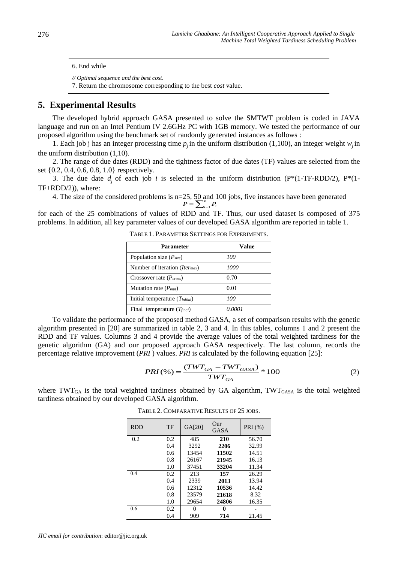6. End while

*// Optimal sequence and the best cost*. 7. Return the chromosome corresponding to the best *cost* value.

# **5. Experimental Results**

The developed hybrid approach GASA presented to solve the SMTWT problem is coded in JAVA language and run on an Intel Pentium IV 2.6GHz PC with 1GB memory. We tested the performance of our proposed algorithm using the benchmark set of randomly generated instances as follows :

1. Each job j has an integer processing time  $p_j$  in the uniform distribution (1,100), an integer weight  $w_j$  in the uniform distribution (1,10).

2. The range of due dates (RDD) and the tightness factor of due dates (TF) values are selected from the set {0.2, 0.4, 0.6, 0.8, 1.0} respectively.

3. The due date  $d_j$  of each job *i* is selected in the uniform distribution (P\*(1-TF-RDD/2), P\*(1-TF+RDD/2)), where:

4. The size of the considered problems is n=25, 50 and 100 jobs, five instances have been generated  $n = \sum_{i=1}^{n}$  $P = \sum_{i=1}^{n} P_i$ 

for each of the 25 combinations of values of RDD and TF. Thus, our used dataset is composed of 375 problems. In addition, all key parameter values of our developed GASA algorithm are reported in table 1.

TABLE 1. PARAMETER SETTINGS FOR EXPERIMENTS.

| Parameter                                         | Value  |
|---------------------------------------------------|--------|
| Population size $(P_{size})$                      | 100    |
| Number of iteration ( <i>Iter<sub>max</sub></i> ) | 1000   |
| Crossover rate $(P_{cross})$                      | 0.70   |
| Mutation rate $(P_{mut})$                         | 0.01   |
| Initial temperature $(T_{initial})$               | 100    |
| Final temperature $(T_{final})$                   | 0.0001 |

To validate the performance of the proposed method GASA, a set of comparison results with the genetic algorithm presented in [20] are summarized in table 2, 3 and 4. In this tables, columns 1 and 2 present the RDD and TF values. Columns 3 and 4 provide the average values of the total weighted tardiness for the genetic algorithm (GA) and our proposed approach GASA respectively. The last column, records the percentage relative improvement (*PRI* ) values. *PRI* is calculated by the following equation [25]:

$$
PRI(\%) = \frac{(TWT_{GA} - TWT_{GASA})}{TWT_{GA}} * 100
$$
\n(2)

where TWT<sub>GA</sub> is the total weighted tardiness obtained by GA algorithm, TWT<sub>GASA</sub> is the total weighted tardiness obtained by our developed GASA algorithm.

| <b>RDD</b> | TF  | GA[20] | Our<br><b>GASA</b> | PRI (%) |
|------------|-----|--------|--------------------|---------|
| 0.2        | 0.2 | 485    | 210                | 56.70   |
|            | 0.4 | 3292   | 2206               | 32.99   |
|            | 0.6 | 13454  | 11502              | 14.51   |
|            | 0.8 | 26167  | 21945              | 16.13   |
|            | 1.0 | 37451  | 33204              | 11.34   |
| 0.4        | 0.2 | 213    | 157                | 26.29   |
|            | 0.4 | 2339   | 2013               | 13.94   |
|            | 0.6 | 12312  | 10536              | 14.42   |
|            | 0.8 | 23579  | 21618              | 8.32    |
|            | 1.0 | 29654  | 24806              | 16.35   |
| 0.6        | 0.2 | 0      | 0                  |         |
|            | 0.4 | 909    | 714                | 21.45   |

TABLE 2. COMPARATIVE RESULTS OF 25 JOBS.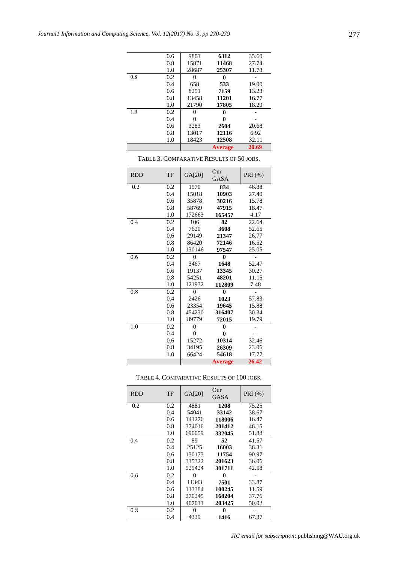|     | 0.6 | 9801  | 6312           | 35.60 |
|-----|-----|-------|----------------|-------|
|     | 0.8 | 15871 | 11468          | 27.74 |
|     | 1.0 | 28687 | 25307          | 11.78 |
| 0.8 | 0.2 | 0     | 0              |       |
|     | 0.4 | 658   | 533            | 19.00 |
|     | 0.6 | 8251  | 7159           | 13.23 |
|     | 0.8 | 13458 | 11201          | 16.77 |
|     | 1.0 | 21790 | 17805          | 18.29 |
| 1.0 | 0.2 | 0     | 0              |       |
|     | 0.4 | 0     | 0              |       |
|     | 0.6 | 3283  | 2604           | 20.68 |
|     | 0.8 | 13017 | 12116          | 6.92  |
|     | 1.0 | 18423 | 12508          | 32.11 |
|     |     |       | <b>Average</b> | 20.69 |

| <b>RDD</b> | TF  | GA[20]         | Our<br><b>GASA</b> | PRI $(%)$ |
|------------|-----|----------------|--------------------|-----------|
| 0.2        | 0.2 | 1570           | 834                | 46.88     |
|            | 0.4 | 15018          | 10903              | 27.40     |
|            | 0.6 | 35878          | 30216              | 15.78     |
|            | 0.8 | 58769          | 47915              | 18.47     |
|            | 1.0 | 172663         | 165457             | 4.17      |
| 0.4        | 0.2 | 106            | 82                 | 22.64     |
|            | 0.4 | 7620           | 3608               | 52.65     |
|            | 0.6 | 29149          | 21347              | 26.77     |
|            | 0.8 | 86420          | 72146              | 16.52     |
|            | 1.0 | 130146         | 97547              | 25.05     |
| 0.6        | 0.2 | $\theta$       | 0                  |           |
|            | 0.4 | 3467           | 1648               | 52.47     |
|            | 0.6 | 19137          | 13345              | 30.27     |
|            | 0.8 | 54251          | 48201              | 11.15     |
|            | 1.0 | 121932         | 112809             | 7.48      |
| 0.8        | 0.2 | $\theta$       | 0                  |           |
|            | 0.4 | 2426           | 1023               | 57.83     |
|            | 0.6 | 23354          | 19645              | 15.88     |
|            | 0.8 | 454230         | 316407             | 30.34     |
|            | 1.0 | 89779          | 72015              | 19.79     |
| 1.0        | 0.2 | $\overline{0}$ | $\bf{0}$           |           |
|            | 0.4 | $\theta$       | 0                  |           |
|            | 0.6 | 15272          | 10314              | 32.46     |
|            | 0.8 | 34195          | 26309              | 23.06     |
|            | 1.0 | 66424          | 54618              | 17.77     |
|            |     |                | <b>Average</b>     | 26.42     |

TABLE 3. COMPARATIVE RESULTS OF 50 JOBS.

| TABLE 4. COMPARATIVE RESULTS OF 100 JOBS. |  |
|-------------------------------------------|--|
|-------------------------------------------|--|

| <b>RDD</b> | TF  | GA[20] | Our<br>GASA | PRI (%) |
|------------|-----|--------|-------------|---------|
| 0.2        | 0.2 | 4881   | 1208        | 75.25   |
|            | 0.4 | 54041  | 33142       | 38.67   |
|            | 0.6 | 141276 | 118006      | 16.47   |
|            | 0.8 | 374016 | 201412      | 46.15   |
|            | 1.0 | 690059 | 332045      | 51.88   |
| 0.4        | 0.2 | 89     | 52          | 41.57   |
|            | 0.4 | 25125  | 16003       | 36.31   |
|            | 0.6 | 130173 | 11754       | 90.97   |
|            | 0.8 | 315322 | 201623      | 36.06   |
|            | 1.0 | 525424 | 301711      | 42.58   |
| 0.6        | 0.2 | 0      | 0           |         |
|            | 0.4 | 11343  | 7501        | 33.87   |
|            | 0.6 | 113384 | 100245      | 11.59   |
|            | 0.8 | 270245 | 168204      | 37.76   |
|            | 1.0 | 407011 | 203425      | 50.02   |
| 0.8        | 0.2 | 0      | 0           |         |
|            | 0.4 | 4339   | 1416        | 67.37   |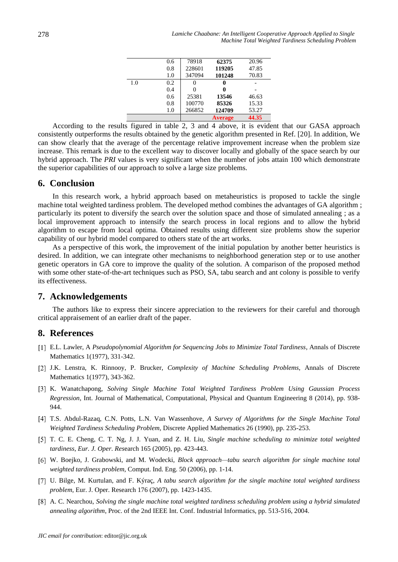|     | 0.6 | 78918  | 62375          | 20.96 |
|-----|-----|--------|----------------|-------|
|     | 0.8 | 228601 | 119205         | 47.85 |
|     | 1.0 | 347094 | 101248         | 70.83 |
| 1.0 | 0.2 | 0      |                |       |
|     | 0.4 |        |                |       |
|     | 0.6 | 25381  | 13546          | 46.63 |
|     | 0.8 | 100770 | 85326          | 15.33 |
|     | 1.0 | 266852 | 124709         | 53.27 |
|     |     |        | <b>Average</b> | 44.35 |

According to the results figured in table 2, 3 and 4 above, it is evident that our GASA approach consistently outperforms the results obtained by the genetic algorithm presented in Ref. [20]. In addition, We can show clearly that the average of the percentage relative improvement increase when the problem size increase. This remark is due to the excellent way to discover locally and globally of the space search by our hybrid approach. The *PRI* values is very significant when the number of jobs attain 100 which demonstrate the superior capabilities of our approach to solve a large size problems.

# **6. Conclusion**

In this research work, a hybrid approach based on metaheuristics is proposed to tackle the single machine total weighted tardiness problem. The developed method combines the advantages of GA algorithm ; particularly its potent to diversify the search over the solution space and those of simulated annealing ; as a local improvement approach to intensify the search process in local regions and to allow the hybrid algorithm to escape from local optima. Obtained results using different size problems show the superior capability of our hybrid model compared to others state of the art works.

As a perspective of this work, the improvement of the initial population by another better heuristics is desired. In addition, we can integrate other mechanisms to neighborhood generation step or to use another genetic operators in GA core to improve the quality of the solution. A comparison of the proposed method with some other state-of-the-art techniques such as PSO, SA, tabu search and ant colony is possible to verify its effectiveness.

# **7. Acknowledgements**

The authors like to express their sincere appreciation to the reviewers for their careful and thorough critical appraisement of an earlier draft of the paper.

# **8. References**

- E.L. Lawler, A *Pseudopolynomial Algorithm for Sequencing Jobs to Minimize Total Tardiness*, Annals of Discrete Mathematics 1(1977), 331-342.
- J.K. Lenstra, K. Rinnooy, P. Brucker, *Complexity of Machine Scheduling Problems*, Annals of Discrete Mathematics 1(1977), 343-362.
- K. Wanatchapong, *Solving Single Machine Total Weighted Tardiness Problem Using Gaussian Process Regression*, Int. Journal of Mathematical, Computational, Physical and Quantum Engineering 8 (2014), pp. 938- 944.
- T.S. Abdul-Razaq, C.N. Potts, L.N. Van Wassenhove, *A Survey of Algorithms for the Single Machine Total Weighted Tardiness Scheduling Problem*, Discrete Applied Mathematics 26 (1990), pp. 235-253.
- T. C. E. Cheng, C. T. Ng, J. J. Yuan, and Z. H. Liu, *Single machine scheduling to minimize total weighted tardiness*, *Eur. J. Oper. Res*earch 165 (2005), pp. 423-443.
- W. Boejko, J. Grabowski, and M. Wodecki, *Block approach—tabu search algorithm for single machine total weighted tardiness problem*, Comput. Ind. Eng. 50 (2006), pp. 1-14.
- U. Bilge, M. Kurtulan, and F. Kýraç, *A tabu search algorithm for the single machine total weighted tardiness problem*, Eur. J. Oper. Research 176 (2007), pp. 1423-1435.
- A. C. Nearchou, *Solving the single machine total weighted tardiness scheduling problem using a hybrid simulated annealing algorithm*, Proc. of the 2nd IEEE Int. Conf. Industrial Informatics, pp. 513-516, 2004.